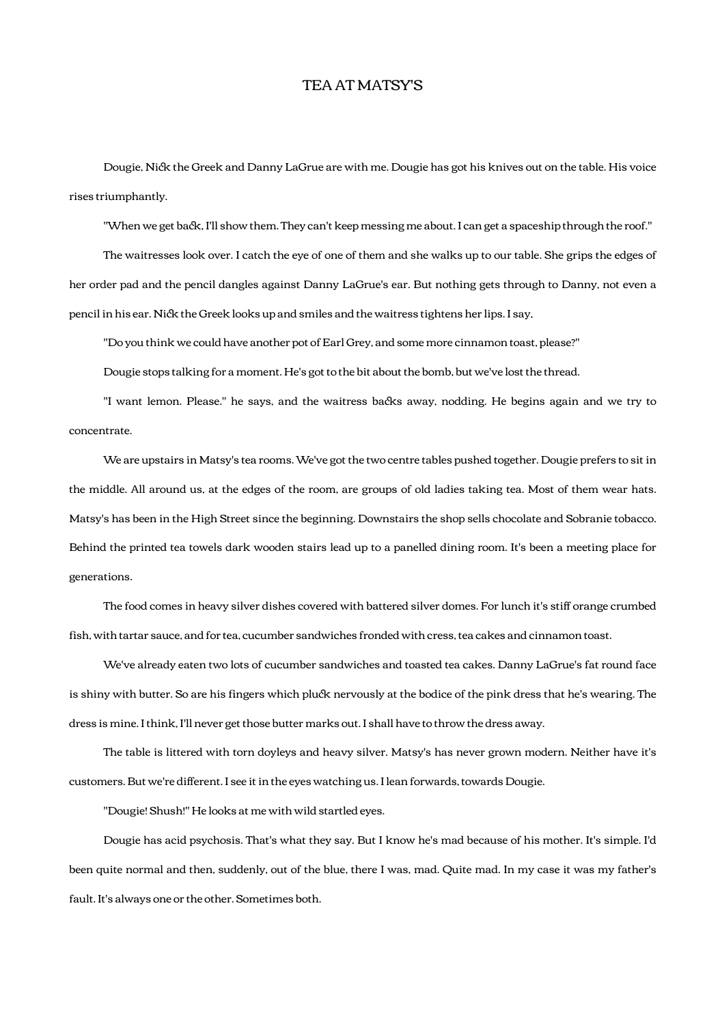## TEA AT MATSY'S

Dougie, Nick the Greek and Danny LaGrue are with me. Dougie has got his knives out on the table. His voice rises triumphantly.

"When we get back, I'll show them. They can't keep messing me about. I can get a spaceship through the roof."

 The waitresses look over. I catch the eye of one of them and she walks up to our table. She grips the edges of her order pad and the pencil dangles against Danny LaGrue's ear. But nothing gets through to Danny, not even a pencil in his ear. Nick the Greek looks up and smiles and the waitress tightens her lips. I say,

"Do you think we could have another pot of Earl Grey, and some more cinnamon toast, please?"

Dougie stops talking for a moment. He's got to the bit about the bomb, but we've lost the thread.

"I want lemon. Please." he says, and the waitress backs away, nodding. He begins again and we try to concentrate.

 We are upstairs in Matsy's tea rooms. We've got the two centre tables pushed together. Dougie prefers to sit in the middle. All around us, at the edges of the room, are groups of old ladies taking tea. Most of them wear hats. Matsy's has been in the High Street since the beginning. Downstairs the shop sells chocolate and Sobranie tobacco. Behind the printed tea towels dark wooden stairs lead up to a panelled dining room. It's been a meeting place for generations.

 The food comes in heavy silver dishes covered with battered silver domes. For lunch it's stiff orange crumbed fish, with tartar sauce, and for tea, cucumber sandwiches fronded with cress, tea cakes and cinnamon toast.

 We've already eaten two lots of cucumber sandwiches and toasted tea cakes. Danny LaGrue's fat round face is shiny with butter. So are his fingers which pluck nervously at the bodice of the pink dress that he's wearing. The dress is mine. I think, I'll never get those butter marks out. I shall have to throw the dress away.

 The table is littered with torn doyleys and heavy silver. Matsy's has never grown modern. Neither have it's customers. But we're different. I see it in the eyes watching us. I lean forwards, towards Dougie.

"Dougie! Shush!" He looks at me with wild startled eyes.

 Dougie has acid psychosis. That's what they say. But I know he's mad because of his mother. It's simple. I'd been quite normal and then, suddenly, out of the blue, there I was, mad. Quite mad. In my case it was my father's fault. It's always one or the other. Sometimes both.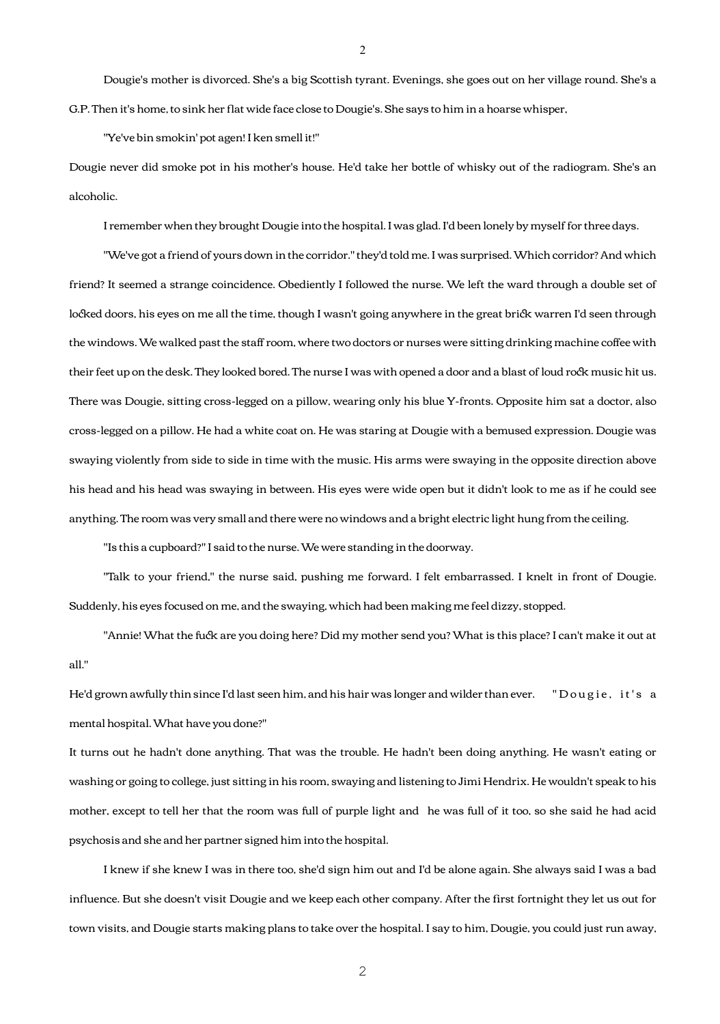Dougie's mother is divorced. She's a big Scottish tyrant. Evenings, she goes out on her village round. She's a G.P. Then it's home, to sink her flat wide face close to Dougie's. She says to him in a hoarse whisper,

"Ye've bin smokin' pot agen! I ken smell it!"

Dougie never did smoke pot in his mother's house. He'd take her bottle of whisky out of the radiogram. She's an alcoholic.

I remember when they brought Dougie into the hospital. I was glad. I'd been lonely by myself for three days.

 "We've got a friend of yours down in the corridor." they'd told me. I was surprised. Which corridor? And which friend? It seemed a strange coincidence. Obediently I followed the nurse. We left the ward through a double set of locked doors, his eyes on me all the time, though I wasn't going anywhere in the great brick warren I'd seen through the windows. We walked past the staff room, where two doctors or nurses were sitting drinking machine coffee with their feet up on the desk. They looked bored. The nurse I was with opened a door and a blast of loud rock music hit us. There was Dougie, sitting cross-legged on a pillow, wearing only his blue Y-fronts. Opposite him sat a doctor, also cross-legged on a pillow. He had a white coat on. He was staring at Dougie with a bemused expression. Dougie was swaying violently from side to side in time with the music. His arms were swaying in the opposite direction above his head and his head was swaying in between. His eyes were wide open but it didn't look to me as if he could see anything. The room was very small and there were no windows and a bright electric light hung from the ceiling.

"Is this a cupboard?" I said to the nurse. We were standing in the doorway.

 "Talk to your friend," the nurse said, pushing me forward. I felt embarrassed. I knelt in front of Dougie. Suddenly, his eyes focused on me, and the swaying, which had been making me feel dizzy, stopped.

"Annie! What the fuck are you doing here? Did my mother send you? What is this place? I can't make it out at all."

He'd grown awfully thin since I'd last seen him, and his hair was longer and wilder than ever. "Dougie, it's a mental hospital. What have you done?"

It turns out he hadn't done anything. That was the trouble. He hadn't been doing anything. He wasn't eating or washing or going to college, just sitting in his room, swaying and listening to Jimi Hendrix. He wouldn't speak to his mother, except to tell her that the room was full of purple light and he was full of it too, so she said he had acid psychosis and she and her partner signed him into the hospital.

 I knew if she knew I was in there too, she'd sign him out and I'd be alone again. She always said I was a bad influence. But she doesn't visit Dougie and we keep each other company. After the first fortnight they let us out for town visits, and Dougie starts making plans to take over the hospital. I say to him, Dougie, you could just run away,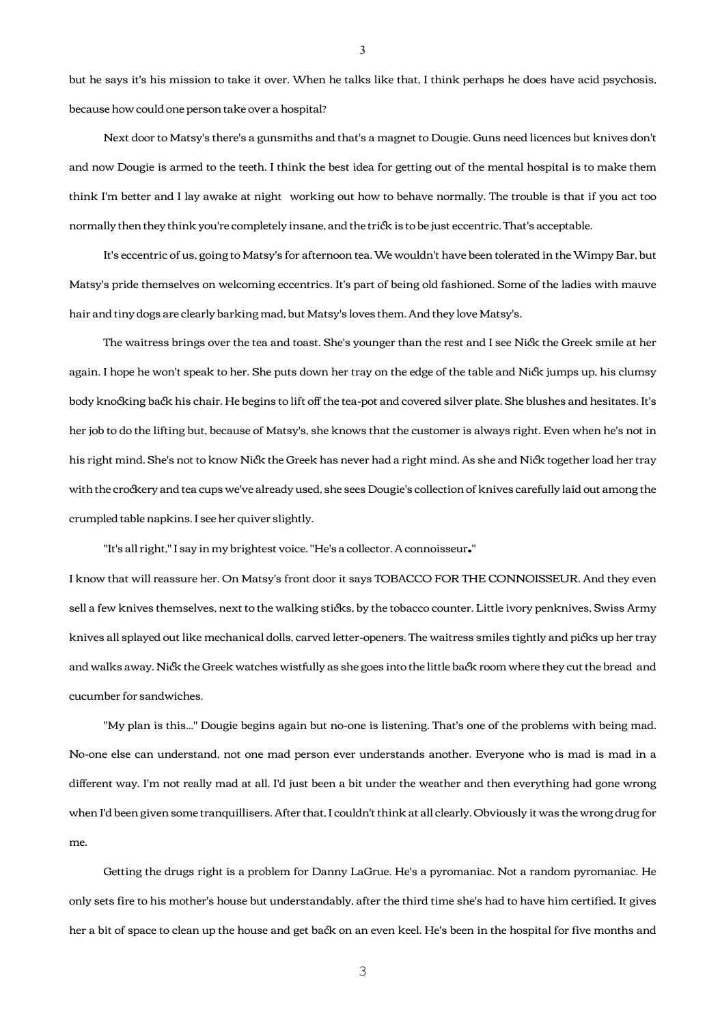but he says it's his mission to take it over. When he talks like that, I think perhaps he does have acid psychosis, because how could one person take over a hospital?

 Next door to Matsy's there's a gunsmiths and that's a magnet to Dougie. Guns need licences but knives don't and now Dougie is armed to the teeth. I think the best idea for getting out of the mental hospital is to make them think I'm better and I lay awake at night working out how to behave normally. The trouble is that if you act too normally then they think you're completely insane, and the trick is to be just eccentric. That's acceptable.

 It's eccentric of us, going to Matsy's for afternoon tea. We wouldn't have been tolerated in the Wimpy Bar, but Matsy's pride themselves on welcoming eccentrics. It's part of being old fashioned. Some of the ladies with mauve hair and tiny dogs are clearly barking mad, but Matsy's loves them. And they love Matsy's.

The waitress brings over the tea and toast. She's younger than the rest and I see Nick the Greek smile at her again. I hope he won't speak to her. She puts down her tray on the edge of the table and Nick jumps up, his clumsy body knocking back his chair. He begins to lift off the tea-pot and covered silver plate. She blushes and hesitates. It's her job to do the lifting but, because of Matsy's, she knows that the customer is always right. Even when he's not in his right mind. She's not to know Nick the Greek has never had a right mind. As she and Nick together load her tray with the crockery and tea cups we've already used, she sees Dougie's collection of knives carefully laid out among the crumpled table napkins. I see her quiver slightly.

"It's all right," I say in my brightest voice. "He's a collector. A connoisseur."

I know that will reassure her. On Matsy's front door it says TOBACCO FOR THE CONNOISSEUR. And they even sell a few knives themselves, next to the walking sticks, by the tobacco counter. Little ivory penknives, Swiss Army knives all splayed out like mechanical dolls, carved letter-openers. The waitress smiles tightly and picks up her tray and walks away. Nick the Greek watches wistfully as she goes into the little back room where they cut the bread and cucumber for sandwiches.

 "My plan is this..." Dougie begins again but no-one is listening. That's one of the problems with being mad. No-one else can understand, not one mad person ever understands another. Everyone who is mad is mad in a different way. I'm not really mad at all. I'd just been a bit under the weather and then everything had gone wrong when I'd been given some tranquillisers. After that, I couldn't think at all clearly. Obviously it was the wrong drug for me.

 Getting the drugs right is a problem for Danny LaGrue. He's a pyromaniac. Not a random pyromaniac. He only sets fire to his mother's house but understandably, after the third time she's had to have him certified. It gives her a bit of space to clean up the house and get back on an even keel. He's been in the hospital for five months and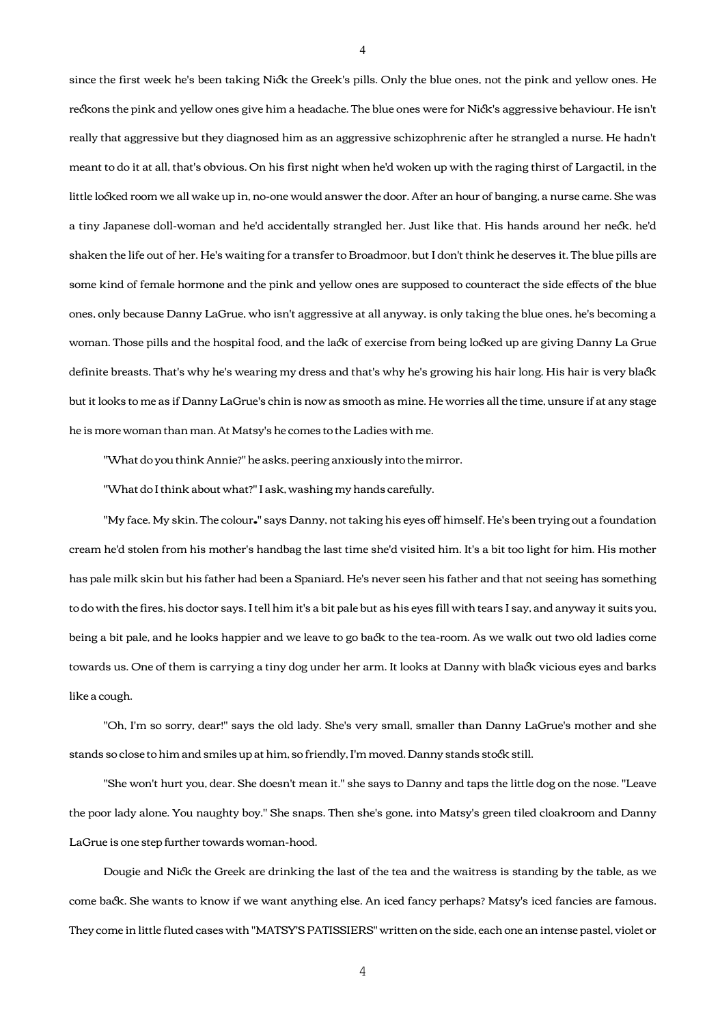since the first week he's been taking Nick the Greek's pills. Only the blue ones, not the pink and yellow ones. He reckons the pink and yellow ones give him a headache. The blue ones were for Nick's aggressive behaviour. He isn't really that aggressive but they diagnosed him as an aggressive schizophrenic after he strangled a nurse. He hadn't meant to do it at all, that's obvious. On his first night when he'd woken up with the raging thirst of Largactil, in the little locked room we all wake up in, no-one would answer the door. After an hour of banging, a nurse came. She was a tiny Japanese doll-woman and he'd accidentally strangled her. Just like that. His hands around her neck, he'd shaken the life out of her. He's waiting for a transfer to Broadmoor, but I don't think he deserves it. The blue pills are some kind of female hormone and the pink and yellow ones are supposed to counteract the side effects of the blue ones, only because Danny LaGrue, who isn't aggressive at all anyway, is only taking the blue ones, he's becoming a woman. Those pills and the hospital food, and the lack of exercise from being locked up are giving Danny La Grue definite breasts. That's why he's wearing my dress and that's why he's growing his hair long. His hair is very blac but it looks to me as if Danny LaGrue's chin is now as smooth as mine. He worries all the time, unsure if at any stage he is more woman than man. At Matsy's he comes to the Ladies with me.

"What do you think Annie?" he asks, peering anxiously into the mirror.

"What do I think about what?" I ask, washing my hands carefully.

 "My face. My skin. The colour." says Danny, not taking his eyes off himself. He's been trying out a foundation cream he'd stolen from his mother's handbag the last time she'd visited him. It's a bit too light for him. His mother has pale milk skin but his father had been a Spaniard. He's never seen his father and that not seeing has something to do with the fires, his doctor says. I tell him it's a bit pale but as his eyes fill with tears I say, and anyway it suits you, being a bit pale, and he looks happier and we leave to go back to the tea-room. As we walk out two old ladies come towards us. One of them is carrying a tiny dog under her arm. It looks at Danny with black vicious eyes and barks like a cough.

 "Oh, I'm so sorry, dear!" says the old lady. She's very small, smaller than Danny LaGrue's mother and she stands so close to him and smiles up at him, so friendly, I'm moved. Danny stands stock still.

 "She won't hurt you, dear. She doesn't mean it." she says to Danny and taps the little dog on the nose. "Leave the poor lady alone. You naughty boy." She snaps. Then she's gone, into Matsy's green tiled cloakroom and Danny LaGrue is one step further towards woman-hood.

Dougie and Nick the Greek are drinking the last of the tea and the waitress is standing by the table, as we come back. She wants to know if we want anything else. An iced fancy perhaps? Matsy's iced fancies are famous. They come in little fluted cases with "MATSY'S PATISSIERS" written on the side, each one an intense pastel, violet or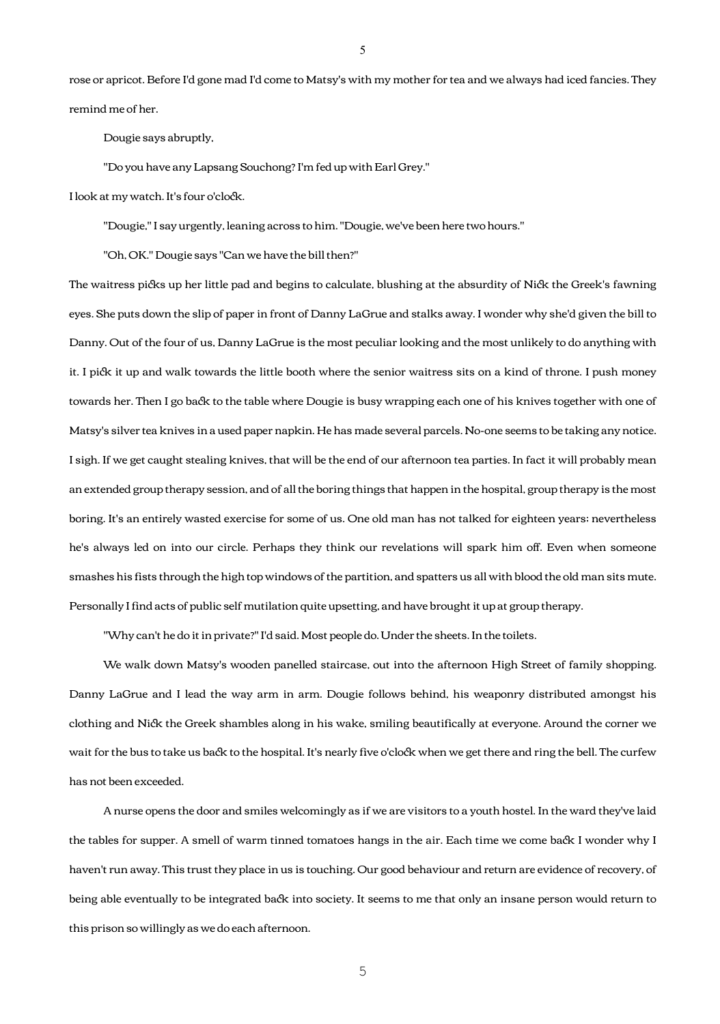rose or apricot. Before I'd gone mad I'd come to Matsy's with my mother for tea and we always had iced fancies. They remind me of her.

Dougie says abruptly,

"Do you have any Lapsang Souchong? I'm fed up with Earl Grey."

I look at my watch. It's four o'clock.

"Dougie," I say urgently, leaning across to him. "Dougie, we've been here two hours."

"Oh, OK." Dougie says "Can we have the bill then?"

The waitress picks up her little pad and begins to calculate, blushing at the absurdity of Nick the Greek's fawning eyes. She puts down the slip of paper in front of Danny LaGrue and stalks away. I wonder why she'd given the bill to Danny. Out of the four of us, Danny LaGrue is the most peculiar looking and the most unlikely to do anything with it. I pick it up and walk towards the little booth where the senior waitress sits on a kind of throne. I push money towards her. Then I go back to the table where Dougie is busy wrapping each one of his knives together with one of Matsy's silver tea knives in a used paper napkin. He has made several parcels. No-one seems to be taking any notice. I sigh. If we get caught stealing knives, that will be the end of our afternoon tea parties. In fact it will probably mean an extended group therapy session, and of all the boring things that happen in the hospital, group therapy is the most boring. It's an entirely wasted exercise for some of us. One old man has not talked for eighteen years; nevertheless he's always led on into our circle. Perhaps they think our revelations will spark him off. Even when someone smashes his fists through the high top windows of the partition, and spatters us all with blood the old man sits mute. Personally I find acts of public self mutilation quite upsetting, and have brought it up at group therapy.

"Why can't he do it in private?" I'd said. Most people do. Under the sheets. In the toilets.

 We walk down Matsy's wooden panelled staircase, out into the afternoon High Street of family shopping. Danny LaGrue and I lead the way arm in arm. Dougie follows behind, his weaponry distributed amongst his clothing and Nick the Greek shambles along in his wake, smiling beautifically at everyone. Around the corner we wait for the bus to take us back to the hospital. It's nearly five o'clock when we get there and ring the bell. The curfew has not been exceeded.

 A nurse opens the door and smiles welcomingly as if we are visitors to a youth hostel. In the ward they've laid the tables for supper. A smell of warm tinned tomatoes hangs in the air. Each time we come back I wonder why I haven't run away. This trust they place in us is touching. Our good behaviour and return are evidence of recovery, of being able eventually to be integrated back into society. It seems to me that only an insane person would return to this prison so willingly as we do each afternoon.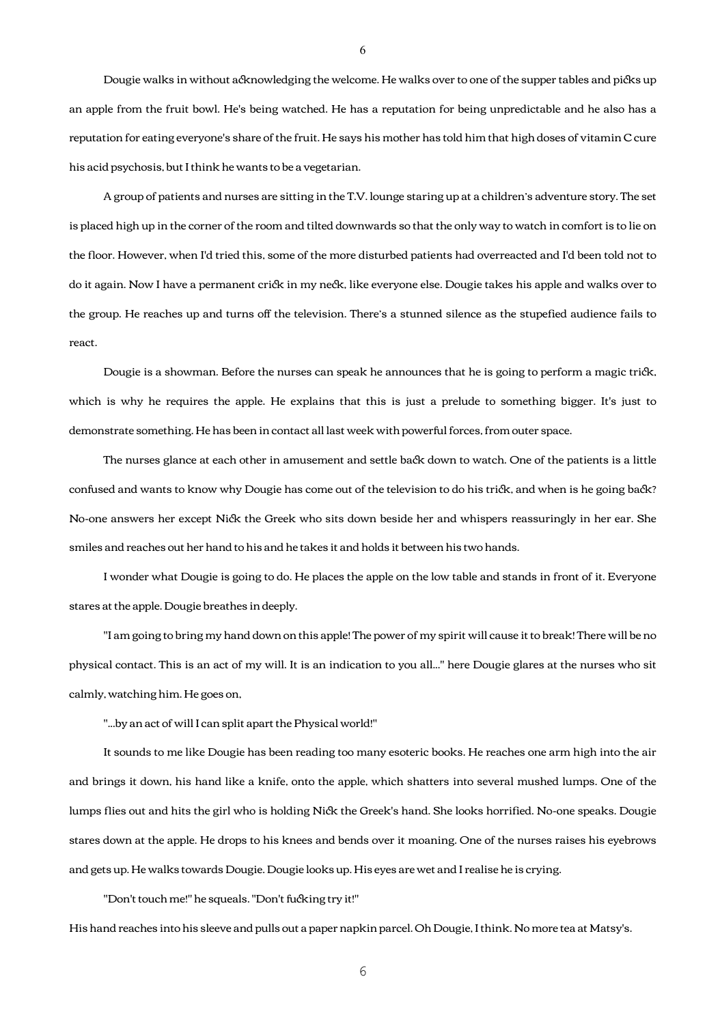Dougie walks in without acknowledging the welcome. He walks over to one of the supper tables and picks up an apple from the fruit bowl. He's being watched. He has a reputation for being unpredictable and he also has a reputation for eating everyone's share of the fruit. He says his mother has told him that high doses of vitamin C cure his acid psychosis, but I think he wants to be a vegetarian.

 A group of patients and nurses are sitting in the T.V. lounge staring up at a children's adventure story. The set is placed high up in the corner of the room and tilted downwards so that the only way to watch in comfort is to lie on the floor. However, when I'd tried this, some of the more disturbed patients had overreacted and I'd been told not to do it again. Now I have a permanent crick in my neck, like everyone else. Dougie takes his apple and walks over to the group. He reaches up and turns off the television. There's a stunned silence as the stupefied audience fails to react.

Dougie is a showman. Before the nurses can speak he announces that he is going to perform a magic trick, which is why he requires the apple. He explains that this is just a prelude to something bigger. It's just to demonstrate something. He has been in contact all last week with powerful forces, from outer space.

The nurses glance at each other in amusement and settle back down to watch. One of the patients is a little confused and wants to know why Dougie has come out of the television to do his trick, and when is he going back? No-one answers her except Nick the Greek who sits down beside her and whispers reassuringly in her ear. She smiles and reaches out her hand to his and he takes it and holds it between his two hands.

 I wonder what Dougie is going to do. He places the apple on the low table and stands in front of it. Everyone stares at the apple. Dougie breathes in deeply.

 "I am going to bring my hand down on this apple! The power of my spirit will cause it to break! There will be no physical contact. This is an act of my will. It is an indication to you all..." here Dougie glares at the nurses who sit calmly, watching him. He goes on,

"...by an act of will I can split apart the Physical world!"

 It sounds to me like Dougie has been reading too many esoteric books. He reaches one arm high into the air and brings it down, his hand like a knife, onto the apple, which shatters into several mushed lumps. One of the lumps flies out and hits the girl who is holding Nick the Greek's hand. She looks horrified. No-one speaks. Dougie stares down at the apple. He drops to his knees and bends over it moaning. One of the nurses raises his eyebrows and gets up. He walks towards Dougie. Dougie looks up. His eyes are wet and I realise he is crying.

"Don't touch me!" he squeals. "Don't fucking try it!"

His hand reaches into his sleeve and pulls out a paper napkin parcel. Oh Dougie, I think. No more tea at Matsy's.